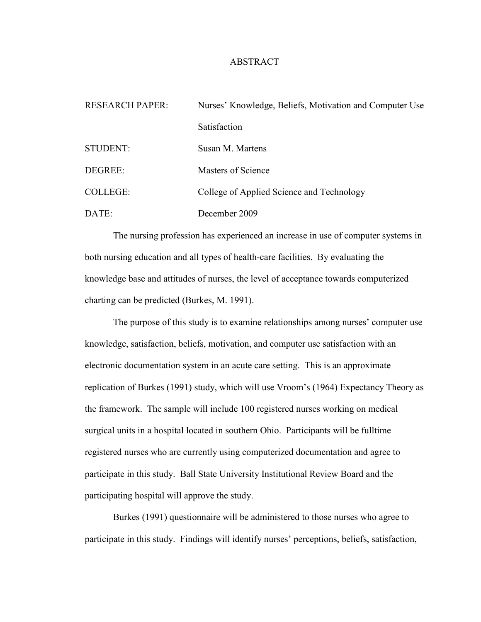## ABSTRACT

| <b>RESEARCH PAPER:</b> | Nurses' Knowledge, Beliefs, Motivation and Computer Use |
|------------------------|---------------------------------------------------------|
|                        | Satisfaction                                            |
| <b>STUDENT:</b>        | Susan M. Martens                                        |
| DEGREE:                | Masters of Science                                      |
| <b>COLLEGE:</b>        | College of Applied Science and Technology               |
| DATE:                  | December 2009                                           |

The nursing profession has experienced an increase in use of computer systems in both nursing education and all types of health-care facilities. By evaluating the knowledge base and attitudes of nurses, the level of acceptance towards computerized charting can be predicted (Burkes, M. 1991).

The purpose of this study is to examine relationships among nurses' computer use knowledge, satisfaction, beliefs, motivation, and computer use satisfaction with an electronic documentation system in an acute care setting. This is an approximate replication of Burkes (1991) study, which will use Vroom's (1964) Expectancy Theory as the framework. The sample will include 100 registered nurses working on medical surgical units in a hospital located in southern Ohio. Participants will be fulltime registered nurses who are currently using computerized documentation and agree to participate in this study. Ball State University Institutional Review Board and the participating hospital will approve the study.

Burkes (1991) questionnaire will be administered to those nurses who agree to participate in this study. Findings will identify nurses' perceptions, beliefs, satisfaction,